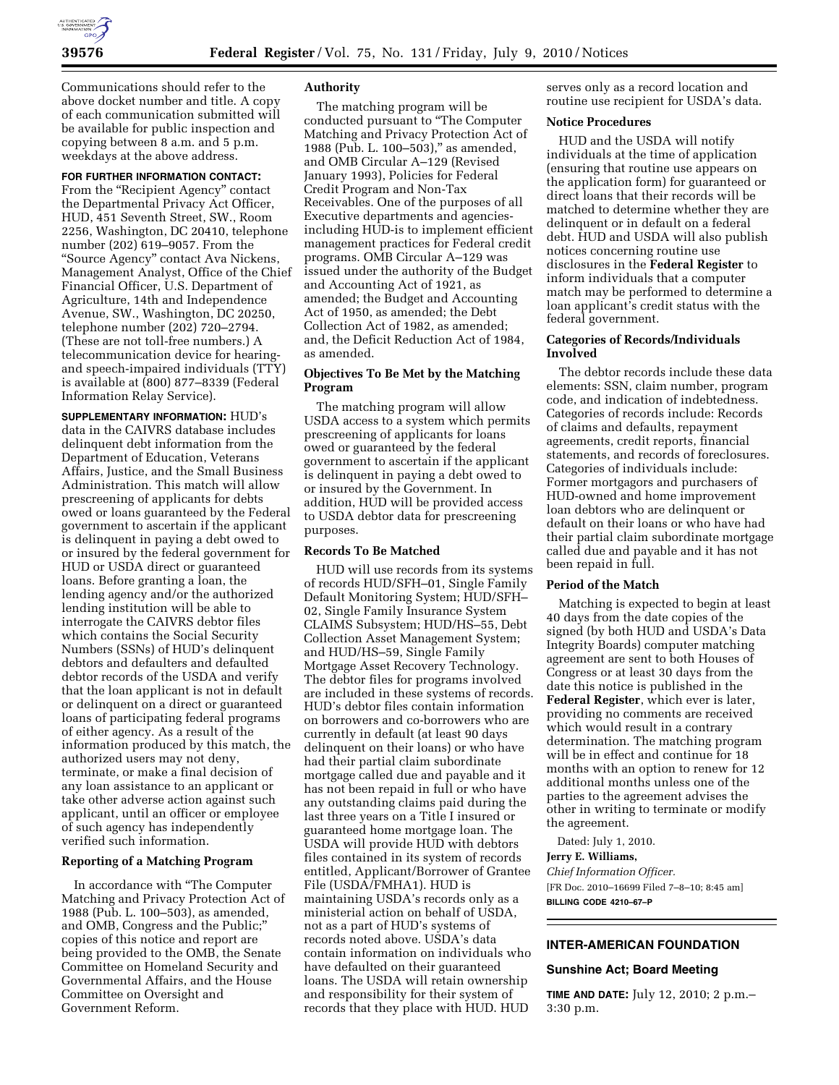

Communications should refer to the above docket number and title. A copy of each communication submitted will be available for public inspection and copying between 8 a.m. and 5 p.m. weekdays at the above address.

### **FOR FURTHER INFORMATION CONTACT:**

From the "Recipient Agency" contact the Departmental Privacy Act Officer, HUD, 451 Seventh Street, SW., Room 2256, Washington, DC 20410, telephone number (202) 619–9057. From the ''Source Agency'' contact Ava Nickens, Management Analyst, Office of the Chief Financial Officer, U.S. Department of Agriculture, 14th and Independence Avenue, SW., Washington, DC 20250, telephone number (202) 720–2794. (These are not toll-free numbers.) A telecommunication device for hearingand speech-impaired individuals (TTY) is available at (800) 877–8339 (Federal Information Relay Service).

**SUPPLEMENTARY INFORMATION:** HUD's data in the CAIVRS database includes delinquent debt information from the Department of Education, Veterans Affairs, Justice, and the Small Business Administration. This match will allow prescreening of applicants for debts owed or loans guaranteed by the Federal government to ascertain if the applicant is delinquent in paying a debt owed to or insured by the federal government for HUD or USDA direct or guaranteed loans. Before granting a loan, the lending agency and/or the authorized lending institution will be able to interrogate the CAIVRS debtor files which contains the Social Security Numbers (SSNs) of HUD's delinquent debtors and defaulters and defaulted debtor records of the USDA and verify that the loan applicant is not in default or delinquent on a direct or guaranteed loans of participating federal programs of either agency. As a result of the information produced by this match, the authorized users may not deny, terminate, or make a final decision of any loan assistance to an applicant or take other adverse action against such applicant, until an officer or employee of such agency has independently verified such information.

### **Reporting of a Matching Program**

In accordance with ''The Computer Matching and Privacy Protection Act of 1988 (Pub. L. 100–503), as amended, and OMB, Congress and the Public;'' copies of this notice and report are being provided to the OMB, the Senate Committee on Homeland Security and Governmental Affairs, and the House Committee on Oversight and Government Reform.

# **Authority**

The matching program will be conducted pursuant to ''The Computer Matching and Privacy Protection Act of 1988 (Pub. L. 100–503),'' as amended, and OMB Circular A–129 (Revised January 1993), Policies for Federal Credit Program and Non-Tax Receivables. One of the purposes of all Executive departments and agenciesincluding HUD-is to implement efficient management practices for Federal credit programs. OMB Circular A–129 was issued under the authority of the Budget and Accounting Act of 1921, as amended; the Budget and Accounting Act of 1950, as amended; the Debt Collection Act of 1982, as amended; and, the Deficit Reduction Act of 1984, as amended.

# **Objectives To Be Met by the Matching Program**

The matching program will allow USDA access to a system which permits prescreening of applicants for loans owed or guaranteed by the federal government to ascertain if the applicant is delinquent in paying a debt owed to or insured by the Government. In addition, HUD will be provided access to USDA debtor data for prescreening purposes.

### **Records To Be Matched**

HUD will use records from its systems of records HUD/SFH–01, Single Family Default Monitoring System; HUD/SFH– 02, Single Family Insurance System CLAIMS Subsystem; HUD/HS–55, Debt Collection Asset Management System; and HUD/HS–59, Single Family Mortgage Asset Recovery Technology. The debtor files for programs involved are included in these systems of records. HUD's debtor files contain information on borrowers and co-borrowers who are currently in default (at least 90 days delinquent on their loans) or who have had their partial claim subordinate mortgage called due and payable and it has not been repaid in full or who have any outstanding claims paid during the last three years on a Title I insured or guaranteed home mortgage loan. The USDA will provide HUD with debtors files contained in its system of records entitled, Applicant/Borrower of Grantee File (USDA/FMHA1). HUD is maintaining USDA's records only as a ministerial action on behalf of USDA, not as a part of HUD's systems of records noted above. USDA's data contain information on individuals who have defaulted on their guaranteed loans. The USDA will retain ownership and responsibility for their system of records that they place with HUD. HUD

serves only as a record location and routine use recipient for USDA's data.

### **Notice Procedures**

HUD and the USDA will notify individuals at the time of application (ensuring that routine use appears on the application form) for guaranteed or direct loans that their records will be matched to determine whether they are delinquent or in default on a federal debt. HUD and USDA will also publish notices concerning routine use disclosures in the **Federal Register** to inform individuals that a computer match may be performed to determine a loan applicant's credit status with the federal government.

### **Categories of Records/Individuals Involved**

The debtor records include these data elements: SSN, claim number, program code, and indication of indebtedness. Categories of records include: Records of claims and defaults, repayment agreements, credit reports, financial statements, and records of foreclosures. Categories of individuals include: Former mortgagors and purchasers of HUD-owned and home improvement loan debtors who are delinquent or default on their loans or who have had their partial claim subordinate mortgage called due and payable and it has not been repaid in full.

## **Period of the Match**

Matching is expected to begin at least 40 days from the date copies of the signed (by both HUD and USDA's Data Integrity Boards) computer matching agreement are sent to both Houses of Congress or at least 30 days from the date this notice is published in the **Federal Register**, which ever is later, providing no comments are received which would result in a contrary determination. The matching program will be in effect and continue for 18 months with an option to renew for 12 additional months unless one of the parties to the agreement advises the other in writing to terminate or modify the agreement.

Dated: July 1, 2010. **Jerry E. Williams,**  *Chief Information Officer.*  [FR Doc. 2010–16699 Filed 7–8–10; 8:45 am] **BILLING CODE 4210–67–P** 

# **INTER-AMERICAN FOUNDATION**

# **Sunshine Act; Board Meeting**

**TIME AND DATE:** July 12, 2010; 2 p.m.– 3:30 p.m.